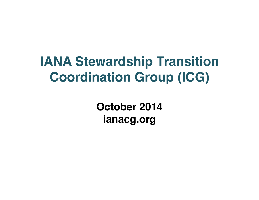#### **IANA Stewardship Transition Coordination Group (ICG)**

**October 2014 ianacg.org**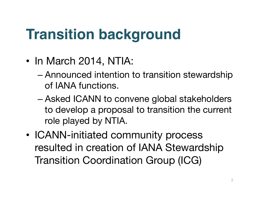### **Transition background**

- In March 2014, NTIA:
	- Announced intention to transition stewardship of IANA functions.
	- Asked ICANN to convene global stakeholders to develop a proposal to transition the current role played by NTIA.
- ICANN-initiated community process resulted in creation of IANA Stewardship Transition Coordination Group (ICG)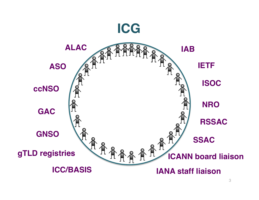

3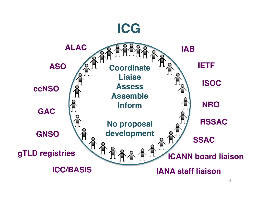

<sup>4</sup>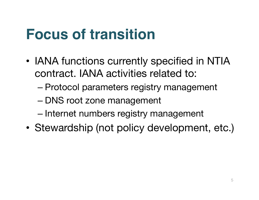### **Focus of transition**

- IANA functions currently specified in NTIA contract. IANA activities related to:
	- Protocol parameters registry management
	- DNS root zone management
	- Internet numbers registry management
- Stewardship (not policy development, etc.)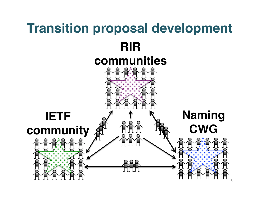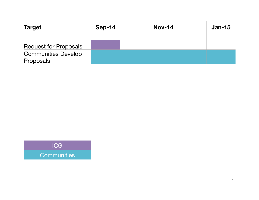| <b>Target</b>                           | $Sep-14$ | <b>Nov-14</b> | $Jan-15$ |
|-----------------------------------------|----------|---------------|----------|
| <b>Request for Proposals</b>            |          |               |          |
| <b>Communities Develop</b><br>Proposals |          |               |          |

ICG **Communities**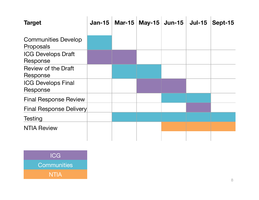| <b>Target</b>                           | $Jan-15$ | Mar-15   May-15 | <b>Jun-15</b> | <b>Jul-15</b> | Sept-15 |
|-----------------------------------------|----------|-----------------|---------------|---------------|---------|
| <b>Communities Develop</b><br>Proposals |          |                 |               |               |         |
| <b>ICG Develops Draft</b><br>Response   |          |                 |               |               |         |
| <b>Review of the Draft</b><br>Response  |          |                 |               |               |         |
| <b>ICG Develops Final</b><br>Response   |          |                 |               |               |         |
| <b>Final Response Review</b>            |          |                 |               |               |         |
| Final Response Delivery                 |          |                 |               |               |         |
| <b>Testing</b>                          |          |                 |               |               |         |
| <b>NTIA Review</b>                      |          |                 |               |               |         |

ICG **Communities** NTIA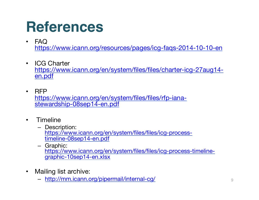#### **References**

- FAQ https://www.icann.org/resources/pages/icg-faqs-2014-10-10-en
- ICG Charter https://www.icann.org/en/system/files/files/charter-icg-27aug14 en.pdf
- RFP https://www.icann.org/en/system/files/files/rfp-ianastewardship-08sep14-en.pdf
- Timeline
	- Description: https://www.icann.org/en/system/files/files/icg-processtimeline-08sep14-en.pdf
	- Graphic: https://www.icann.org/en/system/files/files/icg-process-timelinegraphic-10sep14-en.xlsx
- Mailing list archive:
	- http://mm.icann.org/pipermail/internal-cg/ <sup>9</sup>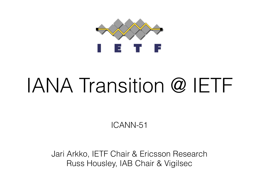

## IANA Transition @ IETF

ICANN-51

Jari Arkko, IETF Chair & Ericsson Research Russ Housley, IAB Chair & Vigilsec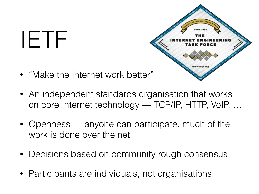## IETF



- "Make the Internet work better"
- An independent standards organisation that works on core Internet technology — TCP/IP, HTTP, VoIP, …
- Openness anyone can participate, much of the work is done over the net
- Decisions based on community rough consensus
- Participants are individuals, not organisations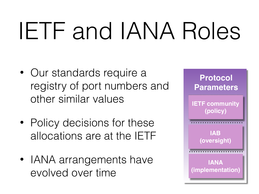# IETF and IANA Roles

- Our standards require a registry of port numbers and other similar values
- Policy decisions for these allocations are at the IETF
- IANA arrangements have evolved over time

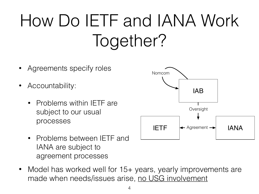### How Do IETF and IANA Work Together?

- IAB  $IETF \leftarrow$  Agreement  $\rightarrow$   $IANA$ Nomcom NomcomOversight Oversight Agreements specify roles • Accountability: • Problems within IETF are subject to our usual processes
	- Problems between IETF and IANA are subject to agreement processes
- Model has worked well for 15+ years, yearly improvements are made when needs/issues arise, no USG involvement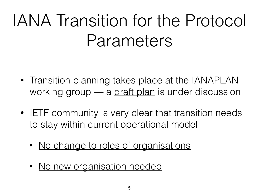### IANA Transition for the Protocol Parameters

- Transition planning takes place at the IANAPLAN working group — a [draft plan](http:tools.ietf.org/pdf/draft-ietf-ianaplan-icg-response-00.pdf) is under discussion
- IETF community is very clear that transition needs to stay within current operational model
	- No change to roles of organisations
	- No new organisation needed